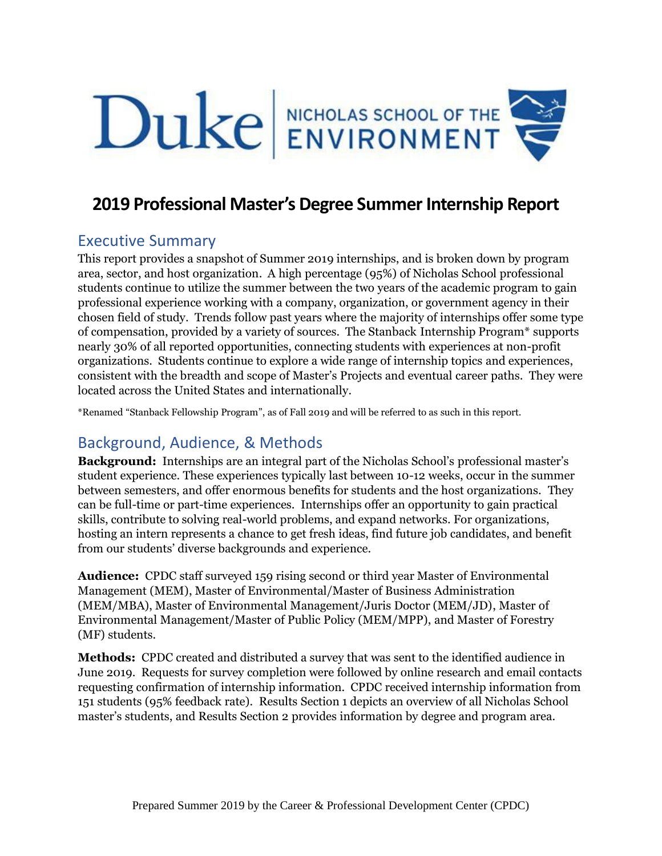

# **2019 Professional Master's Degree Summer Internship Report**

## Executive Summary

This report provides a snapshot of Summer 2019 internships, and is broken down by program area, sector, and host organization. A high percentage (95%) of Nicholas School professional students continue to utilize the summer between the two years of the academic program to gain professional experience working with a company, organization, or government agency in their chosen field of study. Trends follow past years where the majority of internships offer some type of compensation, provided by a variety of sources. The Stanback Internship Program\* supports nearly 30% of all reported opportunities, connecting students with experiences at non-profit organizations. Students continue to explore a wide range of internship topics and experiences, consistent with the breadth and scope of Master's Projects and eventual career paths. They were located across the United States and internationally.

\*Renamed "Stanback Fellowship Program", as of Fall 2019 and will be referred to as such in this report.

# Background, Audience, & Methods

**Background:** Internships are an integral part of the Nicholas School's professional master's student experience. These experiences typically last between 10-12 weeks, occur in the summer between semesters, and offer enormous benefits for students and the host organizations. They can be full-time or part-time experiences. Internships offer an opportunity to gain practical skills, contribute to solving real-world problems, and expand networks. For organizations, hosting an intern represents a chance to get fresh ideas, find future job candidates, and benefit from our students' diverse backgrounds and experience.

**Audience:** CPDC staff surveyed 159 rising second or third year Master of Environmental Management (MEM), Master of Environmental/Master of Business Administration (MEM/MBA), Master of Environmental Management/Juris Doctor (MEM/JD), Master of Environmental Management/Master of Public Policy (MEM/MPP), and Master of Forestry (MF) students.

**Methods:** CPDC created and distributed a survey that was sent to the identified audience in June 2019. Requests for survey completion were followed by online research and email contacts requesting confirmation of internship information. CPDC received internship information from 151 students (95% feedback rate). Results Section 1 depicts an overview of all Nicholas School master's students, and Results Section 2 provides information by degree and program area.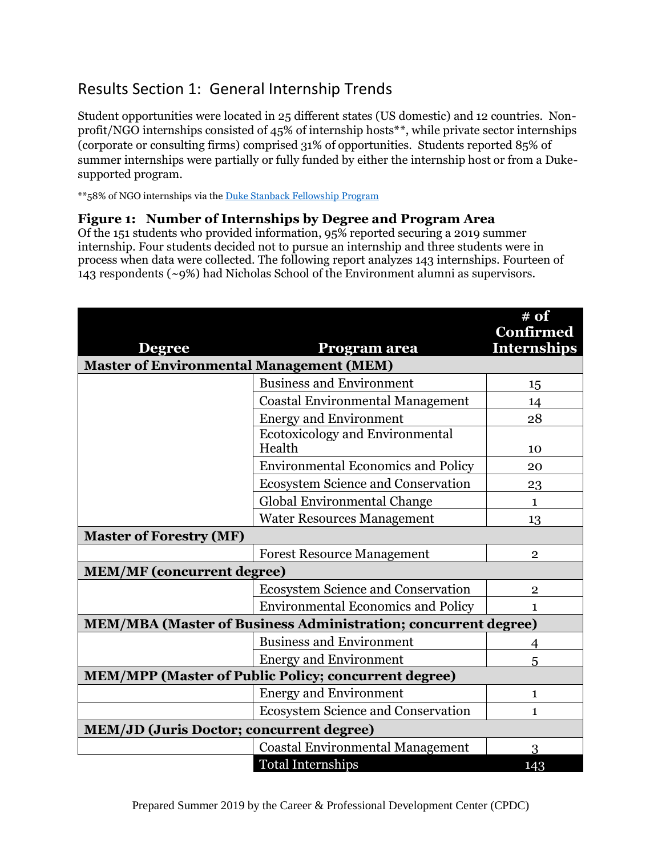# Results Section 1: General Internship Trends

Student opportunities were located in 25 different states (US domestic) and 12 countries. Nonprofit/NGO internships consisted of 45% of internship hosts\*\*, while private sector internships (corporate or consulting firms) comprised 31% of opportunities. Students reported 85% of summer internships were partially or fully funded by either the internship host or from a Dukesupported program.

\*\*58% of NGO internships via th[e Duke Stanback Fellowship Program](https://nicholas.duke.edu/career/for-students/stanback)

#### **Figure 1: Number of Internships by Degree and Program Area**

Of the 151 students who provided information, 95% reported securing a 2019 summer internship. Four students decided not to pursue an internship and three students were in process when data were collected. The following report analyzes 143 internships. Fourteen of 143 respondents (~9%) had Nicholas School of the Environment alumni as supervisors.

| <b>Degree</b>                                                         | Program area                                     | # of<br>Confirmed<br><b>Internships</b> |
|-----------------------------------------------------------------------|--------------------------------------------------|-----------------------------------------|
| <b>Master of Environmental Management (MEM)</b>                       |                                                  |                                         |
|                                                                       | <b>Business and Environment</b>                  | 15                                      |
|                                                                       | <b>Coastal Environmental Management</b>          | 14                                      |
|                                                                       | <b>Energy and Environment</b>                    | 28                                      |
|                                                                       | <b>Ecotoxicology and Environmental</b><br>Health | 10                                      |
|                                                                       | <b>Environmental Economics and Policy</b>        | 20                                      |
|                                                                       | <b>Ecosystem Science and Conservation</b>        | 23                                      |
|                                                                       | Global Environmental Change                      | $\mathbf{1}$                            |
|                                                                       | <b>Water Resources Management</b>                | 13                                      |
| <b>Master of Forestry (MF)</b>                                        |                                                  |                                         |
|                                                                       | <b>Forest Resource Management</b>                | $\overline{2}$                          |
| <b>MEM/MF</b> (concurrent degree)                                     |                                                  |                                         |
|                                                                       | <b>Ecosystem Science and Conservation</b>        | $\mathbf{2}$                            |
|                                                                       | <b>Environmental Economics and Policy</b>        | 1                                       |
| <b>MEM/MBA (Master of Business Administration; concurrent degree)</b> |                                                  |                                         |
|                                                                       | <b>Business and Environment</b>                  | 4                                       |
|                                                                       | <b>Energy and Environment</b>                    | 5                                       |
| <b>MEM/MPP (Master of Public Policy; concurrent degree)</b>           |                                                  |                                         |
|                                                                       | <b>Energy and Environment</b>                    | 1                                       |
|                                                                       | <b>Ecosystem Science and Conservation</b>        | $\mathbf{1}$                            |
| <b>MEM/JD (Juris Doctor; concurrent degree)</b>                       |                                                  |                                         |
|                                                                       | <b>Coastal Environmental Management</b>          | 3                                       |
|                                                                       | <b>Total Internships</b>                         | 143                                     |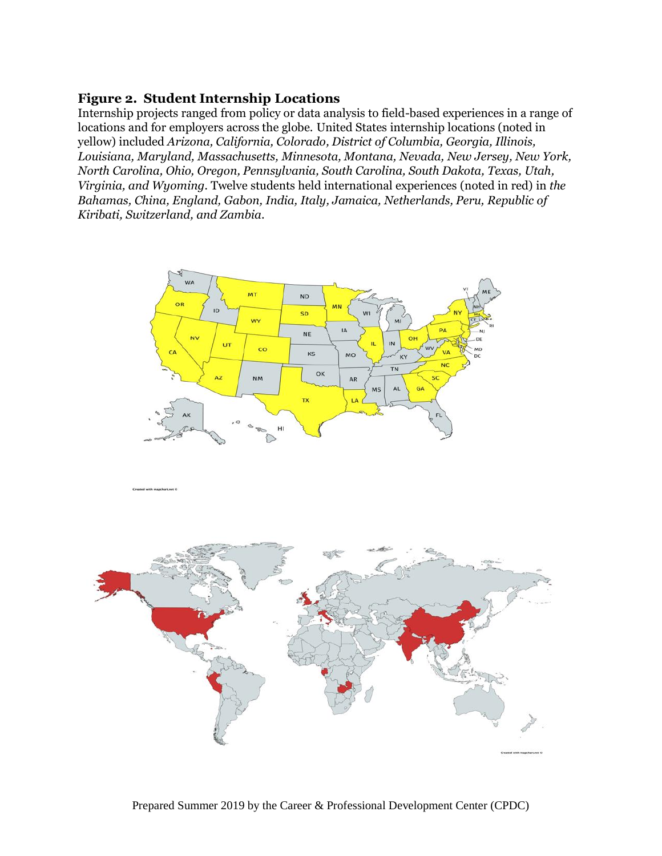### **Figure 2. Student Internship Locations**

Internship projects ranged from policy or data analysis to field-based experiences in a range of locations and for employers across the globe. United States internship locations (noted in yellow) included *Arizona, California, Colorado, District of Columbia, Georgia, Illinois, Louisiana, Maryland, Massachusetts, Minnesota, Montana, Nevada, New Jersey, New York, North Carolina, Ohio, Oregon, Pennsylvania, South Carolina, South Dakota, Texas, Utah, Virginia, and Wyoming.* Twelve students held international experiences (noted in red) in *the Bahamas, China, England, Gabon, India, Italy, Jamaica, Netherlands, Peru, Republic of Kiribati, Switzerland, and Zambia*.





Prepared Summer 2019 by the Career & Professional Development Center (CPDC)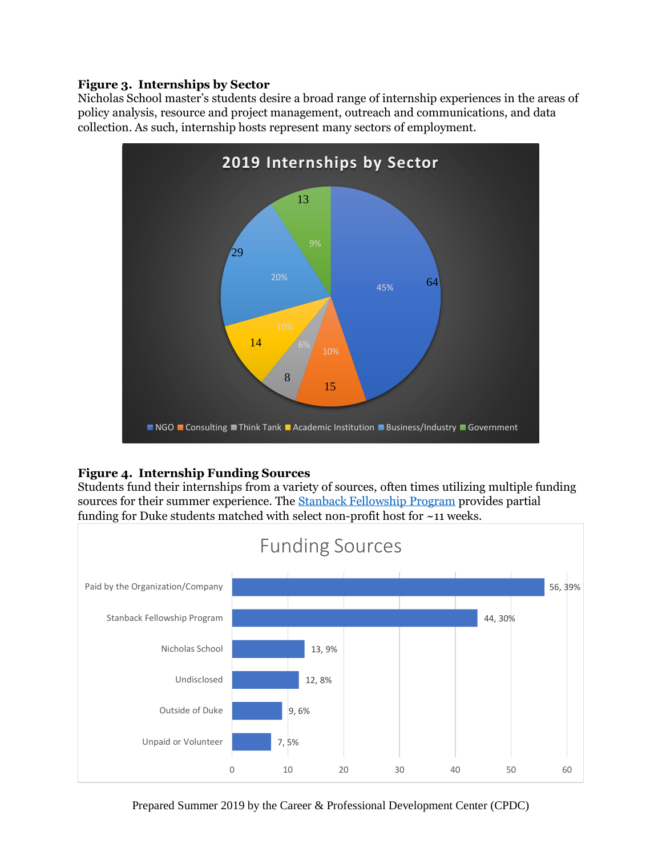#### **Figure 3. Internships by Sector**

Nicholas School master's students desire a broad range of internship experiences in the areas of policy analysis, resource and project management, outreach and communications, and data collection. As such, internship hosts represent many sectors of employment.



### **Figure 4. Internship Funding Sources**

Students fund their internships from a variety of sources, often times utilizing multiple funding sources for their summer experience. The [Stanback Fellowship Program](https://nicholas.duke.edu/career/for-students/stanback) provides partial funding for Duke students matched with select non-profit host for ~11 weeks.



Prepared Summer 2019 by the Career & Professional Development Center (CPDC)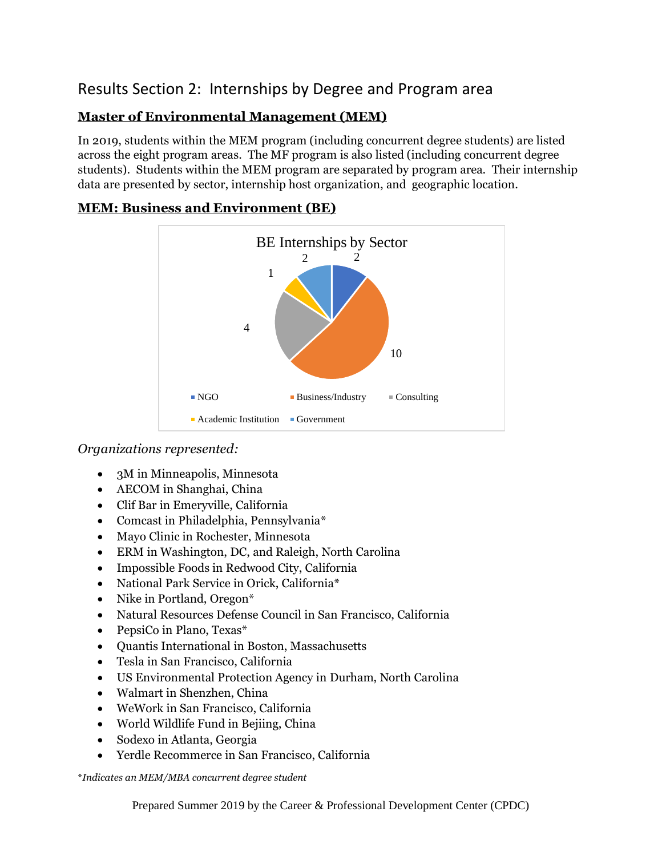# Results Section 2: Internships by Degree and Program area

## **Master of Environmental Management (MEM)**

In 2019, students within the MEM program (including concurrent degree students) are listed across the eight program areas. The MF program is also listed (including concurrent degree students). Students within the MEM program are separated by program area. Their internship data are presented by sector, internship host organization, and geographic location.



## **MEM: Business and Environment (BE)**

*Organizations represented:*

- 3M in Minneapolis, Minnesota
- AECOM in Shanghai, China
- Clif Bar in Emeryville, California
- Comcast in Philadelphia, Pennsylvania\*
- Mayo Clinic in Rochester, Minnesota
- ERM in Washington, DC, and Raleigh, North Carolina
- Impossible Foods in Redwood City, California
- National Park Service in Orick, California\*
- Nike in Portland, Oregon\*
- Natural Resources Defense Council in San Francisco, California
- PepsiCo in Plano, Texas\*
- Quantis International in Boston, Massachusetts
- Tesla in San Francisco, California
- US Environmental Protection Agency in Durham, North Carolina
- Walmart in Shenzhen, China
- WeWork in San Francisco, California
- World Wildlife Fund in Bejiing, China
- Sodexo in Atlanta, Georgia
- Yerdle Recommerce in San Francisco, California

\**Indicates an MEM/MBA concurrent degree student*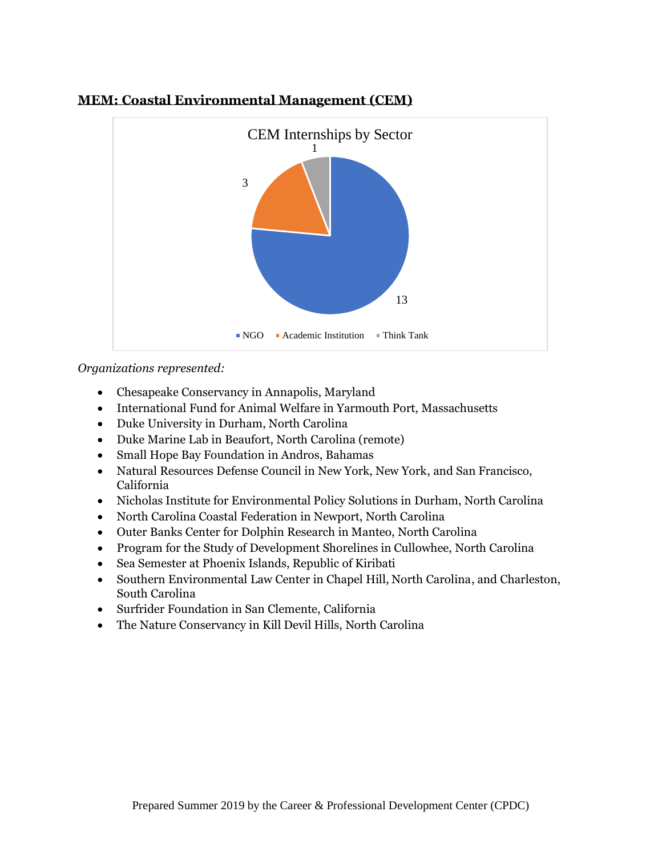

### **MEM: Coastal Environmental Management (CEM)**

- Chesapeake Conservancy in Annapolis, Maryland
- International Fund for Animal Welfare in Yarmouth Port, Massachusetts
- Duke University in Durham, North Carolina
- Duke Marine Lab in Beaufort, North Carolina (remote)
- Small Hope Bay Foundation in Andros, Bahamas
- Natural Resources Defense Council in New York, New York, and San Francisco, California
- Nicholas Institute for Environmental Policy Solutions in Durham, North Carolina
- North Carolina Coastal Federation in Newport, North Carolina
- Outer Banks Center for Dolphin Research in Manteo, North Carolina
- Program for the Study of Development Shorelines in Cullowhee, North Carolina
- Sea Semester at Phoenix Islands, Republic of Kiribati
- Southern Environmental Law Center in Chapel Hill, North Carolina, and Charleston, South Carolina
- Surfrider Foundation in San Clemente, California
- The Nature Conservancy in Kill Devil Hills, North Carolina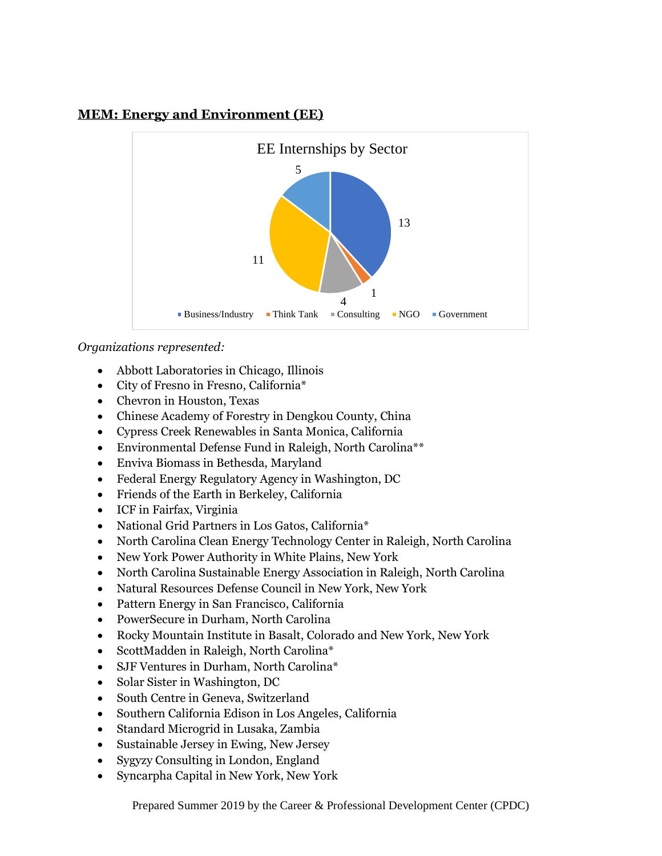## **MEM: Energy and Environment (EE)**



- Abbott Laboratories in Chicago, Illinois
- City of Fresno in Fresno, California\*
- Chevron in Houston, Texas
- Chinese Academy of Forestry in Dengkou County, China
- Cypress Creek Renewables in Santa Monica, California
- Environmental Defense Fund in Raleigh, North Carolina\*\*
- Enviva Biomass in Bethesda, Maryland
- Federal Energy Regulatory Agency in Washington, DC
- Friends of the Earth in Berkeley, California
- ICF in Fairfax, Virginia
- National Grid Partners in Los Gatos, California\*
- North Carolina Clean Energy Technology Center in Raleigh, North Carolina
- New York Power Authority in White Plains, New York
- North Carolina Sustainable Energy Association in Raleigh, North Carolina
- Natural Resources Defense Council in New York, New York
- Pattern Energy in San Francisco, California
- PowerSecure in Durham, North Carolina
- Rocky Mountain Institute in Basalt, Colorado and New York, New York
- ScottMadden in Raleigh, North Carolina\*
- SJF Ventures in Durham, North Carolina\*
- Solar Sister in Washington, DC
- South Centre in Geneva, Switzerland
- Southern California Edison in Los Angeles, California
- Standard Microgrid in Lusaka, Zambia
- Sustainable Jersey in Ewing, New Jersey
- Sygyzy Consulting in London, England
- Syncarpha Capital in New York, New York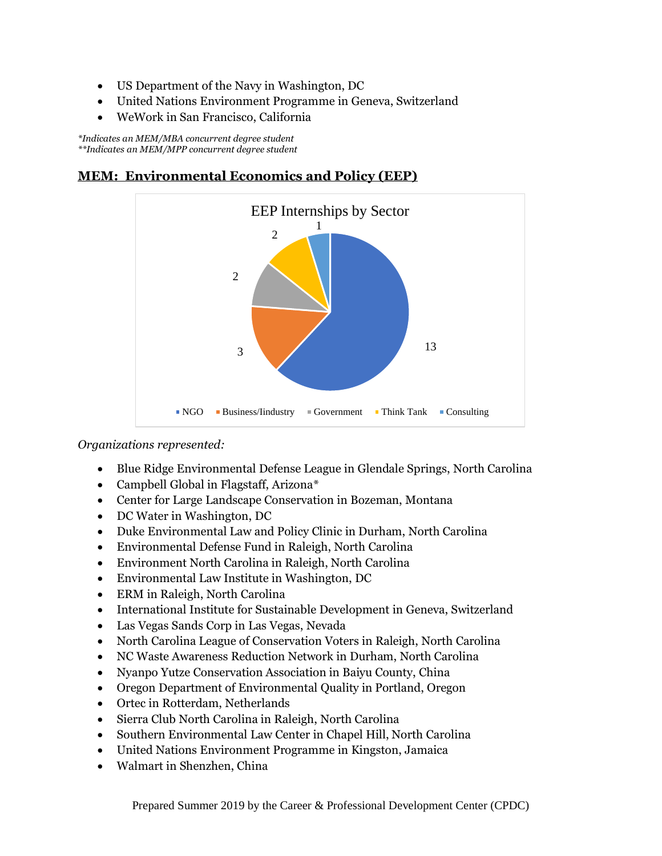- US Department of the Navy in Washington, DC
- United Nations Environment Programme in Geneva, Switzerland
- WeWork in San Francisco, California

*\*Indicates an MEM/MBA concurrent degree student \*\*Indicates an MEM/MPP concurrent degree student*

### **MEM: Environmental Economics and Policy (EEP)**



- Blue Ridge Environmental Defense League in Glendale Springs, North Carolina
- Campbell Global in Flagstaff, Arizona\*
- Center for Large Landscape Conservation in Bozeman, Montana
- DC Water in Washington, DC
- Duke Environmental Law and Policy Clinic in Durham, North Carolina
- Environmental Defense Fund in Raleigh, North Carolina
- Environment North Carolina in Raleigh, North Carolina
- Environmental Law Institute in Washington, DC
- ERM in Raleigh, North Carolina
- International Institute for Sustainable Development in Geneva, Switzerland
- Las Vegas Sands Corp in Las Vegas, Nevada
- North Carolina League of Conservation Voters in Raleigh, North Carolina
- NC Waste Awareness Reduction Network in Durham, North Carolina
- Nyanpo Yutze Conservation Association in Baiyu County, China
- Oregon Department of Environmental Quality in Portland, Oregon
- Ortec in Rotterdam, Netherlands
- Sierra Club North Carolina in Raleigh, North Carolina
- Southern Environmental Law Center in Chapel Hill, North Carolina
- United Nations Environment Programme in Kingston, Jamaica
- Walmart in Shenzhen, China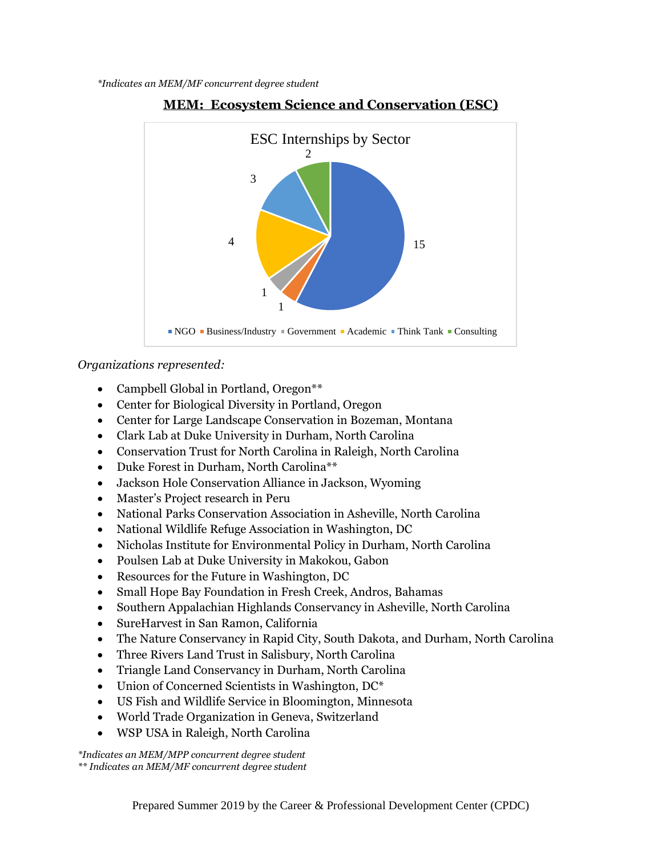



*Organizations represented:*

- Campbell Global in Portland, Oregon<sup>\*\*</sup>
- Center for Biological Diversity in Portland, Oregon
- Center for Large Landscape Conservation in Bozeman, Montana
- Clark Lab at Duke University in Durham, North Carolina
- Conservation Trust for North Carolina in Raleigh, North Carolina
- Duke Forest in Durham, North Carolina\*\*
- Jackson Hole Conservation Alliance in Jackson, Wyoming
- Master's Project research in Peru
- National Parks Conservation Association in Asheville, North Carolina
- National Wildlife Refuge Association in Washington, DC
- Nicholas Institute for Environmental Policy in Durham, North Carolina
- Poulsen Lab at Duke University in Makokou, Gabon
- Resources for the Future in Washington, DC
- Small Hope Bay Foundation in Fresh Creek, Andros, Bahamas
- Southern Appalachian Highlands Conservancy in Asheville, North Carolina
- SureHarvest in San Ramon, California
- The Nature Conservancy in Rapid City, South Dakota, and Durham, North Carolina
- Three Rivers Land Trust in Salisbury, North Carolina
- Triangle Land Conservancy in Durham, North Carolina
- Union of Concerned Scientists in Washington, DC<sup>\*</sup>
- US Fish and Wildlife Service in Bloomington, Minnesota
- World Trade Organization in Geneva, Switzerland
- WSP USA in Raleigh, North Carolina

*\*Indicates an MEM/MPP concurrent degree student \*\* Indicates an MEM/MF concurrent degree student*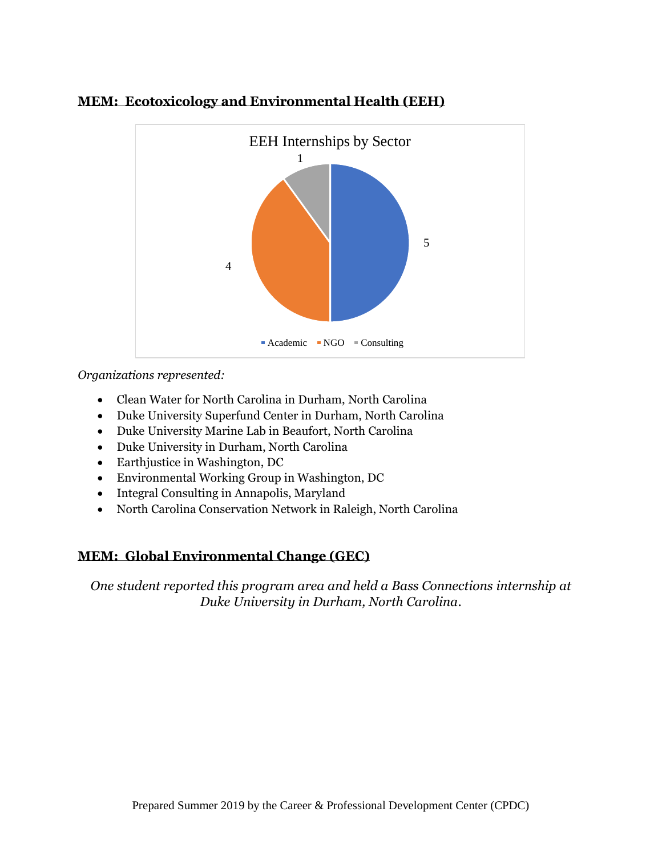

## **MEM: Ecotoxicology and Environmental Health (EEH)**

*Organizations represented:*

- Clean Water for North Carolina in Durham, North Carolina
- Duke University Superfund Center in Durham, North Carolina
- Duke University Marine Lab in Beaufort, North Carolina
- Duke University in Durham, North Carolina
- Earthjustice in Washington, DC
- Environmental Working Group in Washington, DC
- Integral Consulting in Annapolis, Maryland
- North Carolina Conservation Network in Raleigh, North Carolina

## **MEM: Global Environmental Change (GEC)**

*One student reported this program area and held a Bass Connections internship at Duke University in Durham, North Carolina.*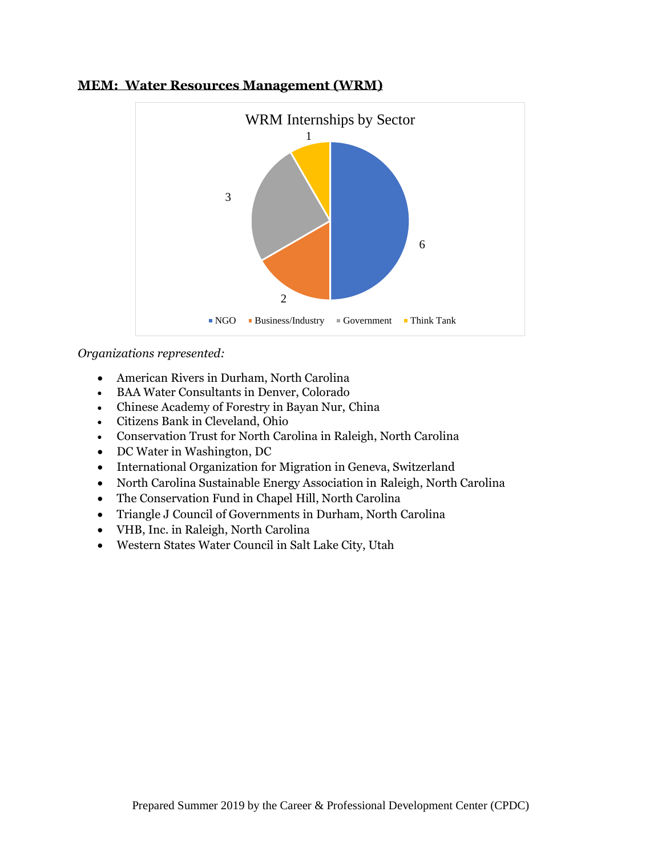

#### **MEM: Water Resources Management (WRM)**

- American Rivers in Durham, North Carolina
- BAA Water Consultants in Denver, Colorado
- Chinese Academy of Forestry in Bayan Nur, China
- Citizens Bank in Cleveland, Ohio
- Conservation Trust for North Carolina in Raleigh, North Carolina
- DC Water in Washington, DC
- International Organization for Migration in Geneva, Switzerland
- North Carolina Sustainable Energy Association in Raleigh, North Carolina
- The Conservation Fund in Chapel Hill, North Carolina
- Triangle J Council of Governments in Durham, North Carolina
- VHB, Inc. in Raleigh, North Carolina
- Western States Water Council in Salt Lake City, Utah